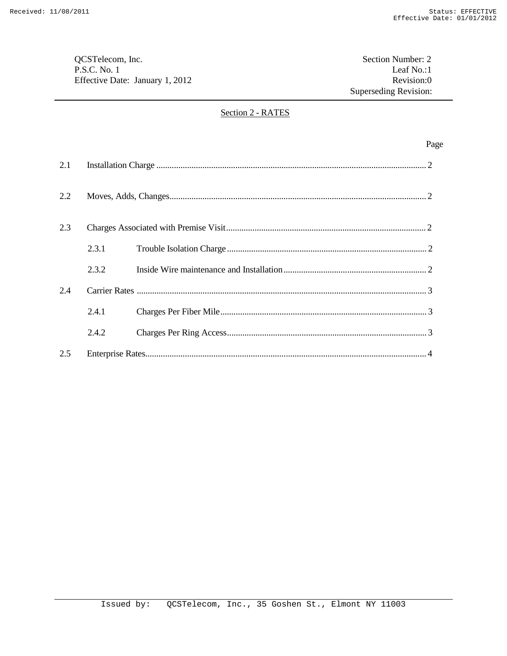QCSTelecom, Inc.<br>
P.S.C. No. 1 Leaf No.:1 P.S.C. No. 1 Leaf No.:1 Leaf No.:1 Leaf No.:1 Leaf No.:1 Effective Date: January 1, 2012

Superseding Revision:

## Section 2 - RATES

|     |       | Page |
|-----|-------|------|
| 2.1 |       |      |
| 2.2 |       |      |
| 2.3 |       |      |
|     | 2.3.1 |      |
|     | 2.3.2 |      |
| 2.4 |       |      |
|     | 2.4.1 |      |
|     | 2.4.2 |      |
| 2.5 |       |      |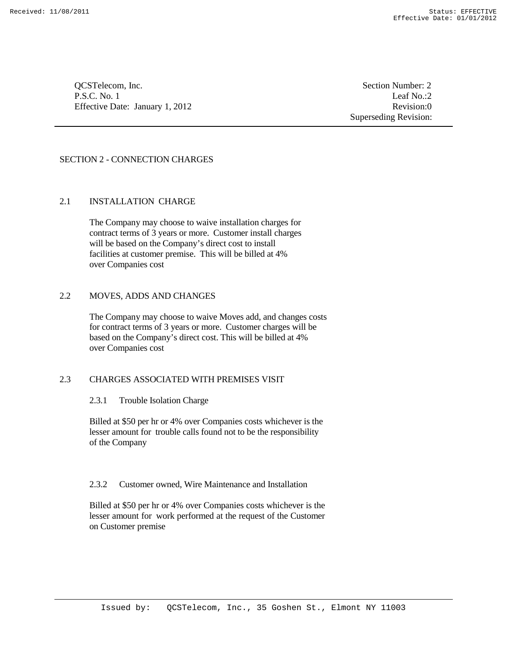QCSTelecom, Inc. Section Number: 2 P.S.C. No. 1 Leaf No.:2 Effective Date: January 1, 2012 Revision:0

Superseding Revision:

# SECTION 2 - CONNECTION CHARGES

## 2.1 INSTALLATION CHARGE

The Company may choose to waive installation charges for contract terms of 3 years or more. Customer install charges will be based on the Company's direct cost to install facilities at customer premise. This will be billed at 4% over Companies cost

# 2.2 MOVES, ADDS AND CHANGES

The Company may choose to waive Moves add, and changes costs for contract terms of 3 years or more. Customer charges will be based on the Company's direct cost. This will be billed at 4% over Companies cost

## 2.3 CHARGES ASSOCIATED WITH PREMISES VISIT

# 2.3.1 Trouble Isolation Charge

Billed at \$50 per hr or 4% over Companies costs whichever is the lesser amount for trouble calls found not to be the responsibility of the Company

#### 2.3.2 Customer owned, Wire Maintenance and Installation

Billed at \$50 per hr or 4% over Companies costs whichever is the lesser amount for work performed at the request of the Customer on Customer premise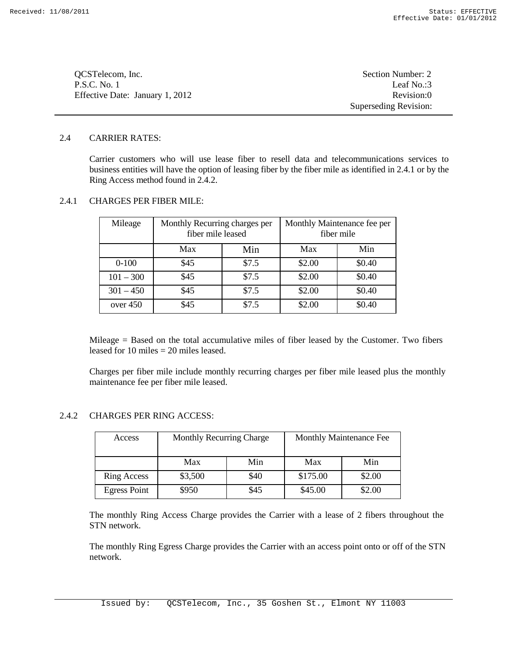| OCSTelecom, Inc.                | Section Number: 2     |
|---------------------------------|-----------------------|
| P.S.C. No. 1                    | Leaf No.:3            |
| Effective Date: January 1, 2012 | Revision:0            |
|                                 | Superseding Revision: |

## 2.4 CARRIER RATES:

Carrier customers who will use lease fiber to resell data and telecommunications services to business entities will have the option of leasing fiber by the fiber mile as identified in 2.4.1 or by the Ring Access method found in 2.4.2.

# 2.4.1 CHARGES PER FIBER MILE:

| Mileage     | Monthly Recurring charges per<br>fiber mile leased |       | Monthly Maintenance fee per<br>fiber mile |        |
|-------------|----------------------------------------------------|-------|-------------------------------------------|--------|
|             | Max                                                | Min   | Max                                       | Min    |
| $0-100$     | \$45                                               | \$7.5 | \$2.00                                    | \$0.40 |
| $101 - 300$ | \$45                                               | \$7.5 | \$2.00                                    | \$0.40 |
| $301 - 450$ | \$45                                               | \$7.5 | \$2.00                                    | \$0.40 |
| over $450$  | \$45                                               | \$7.5 | \$2.00                                    | \$0.40 |

Mileage = Based on the total accumulative miles of fiber leased by the Customer. Two fibers leased for 10 miles  $= 20$  miles leased.

Charges per fiber mile include monthly recurring charges per fiber mile leased plus the monthly maintenance fee per fiber mile leased.

# 2.4.2 CHARGES PER RING ACCESS:

| Access              | <b>Monthly Recurring Charge</b> |      |          | Monthly Maintenance Fee |
|---------------------|---------------------------------|------|----------|-------------------------|
|                     | Max                             | Min  | Max      | Min                     |
| <b>Ring Access</b>  | \$3,500                         | \$40 | \$175.00 | \$2.00                  |
| <b>Egress Point</b> | \$950                           | \$45 | \$45.00  | \$2.00                  |

The monthly Ring Access Charge provides the Carrier with a lease of 2 fibers throughout the STN network.

The monthly Ring Egress Charge provides the Carrier with an access point onto or off of the STN network.